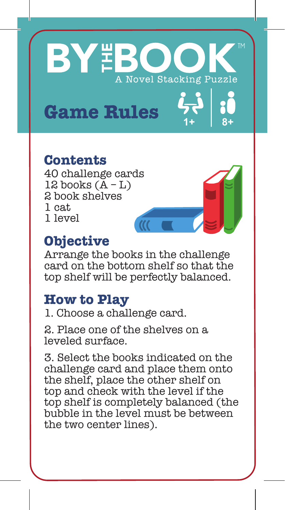# **BY BOC** A Novel Stacking Puzzle

**1+ 8+**

## Game Rules 2

#### **Contents**

40 challenge cards 12 books  $(\text{A} - \text{L})$ 2 book shelves 1 cat 1 level

#### **Objective**

Arrange the books in the challenge card on the bottom shelf so that the top shelf will be perfectly balanced.

#### **How to Play**

1. Choose a challenge card.

2. Place one of the shelves on a leveled surface.

3. Select the books indicated on the challenge card and place them onto the shelf, place the other shelf on top and check with the level if the top shelf is completely balanced (the bubble in the level must be between the two center lines).